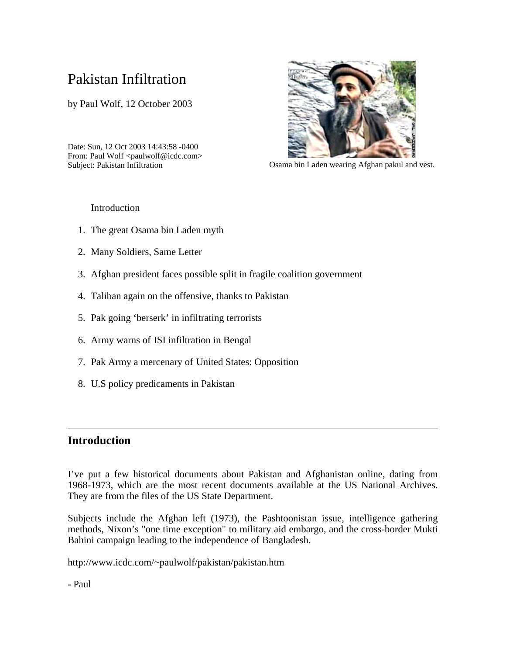# Pakistan Infiltration

by Paul Wolf, 12 October 2003

Date: Sun, 12 Oct 2003 14:43:58 -0400 From: Paul Wolf <paulwolf@icdc.com> Subject: Pakistan Infiltration



Osama bin Laden wearing Afghan pakul and vest.

## Introduction

- 1. The great Osama bin Laden myth
- 2. Many Soldiers, Same Letter
- 3. Afghan president faces possible split in fragile coalition government
- 4. Taliban again on the offensive, thanks to Pakistan
- 5. Pak going 'berserk' in infiltrating terrorists
- 6. Army warns of ISI infiltration in Bengal
- 7. Pak Army a mercenary of United States: Opposition
- 8. U.S policy predicaments in Pakistan

# **Introduction**

I've put a few historical documents about Pakistan and Afghanistan online, dating from 1968-1973, which are the most recent documents available at the US National Archives. They are from the files of the US State Department.

Subjects include the Afghan left (1973), the Pashtoonistan issue, intelligence gathering methods, Nixon's "one time exception" to military aid embargo, and the cross-border Mukti Bahini campaign leading to the independence of Bangladesh.

http://www.icdc.com/~paulwolf/pakistan/pakistan.htm

- Paul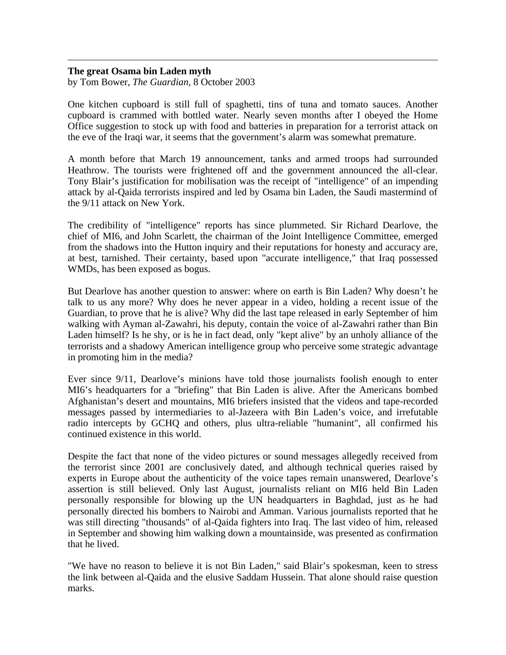## **The great Osama bin Laden myth**

by Tom Bower, *The Guardian*, 8 October 2003

One kitchen cupboard is still full of spaghetti, tins of tuna and tomato sauces. Another cupboard is crammed with bottled water. Nearly seven months after I obeyed the Home Office suggestion to stock up with food and batteries in preparation for a terrorist attack on the eve of the Iraqi war, it seems that the government's alarm was somewhat premature.

A month before that March 19 announcement, tanks and armed troops had surrounded Heathrow. The tourists were frightened off and the government announced the all-clear. Tony Blair's justification for mobilisation was the receipt of "intelligence" of an impending attack by al-Qaida terrorists inspired and led by Osama bin Laden, the Saudi mastermind of the 9/11 attack on New York.

The credibility of "intelligence" reports has since plummeted. Sir Richard Dearlove, the chief of MI6, and John Scarlett, the chairman of the Joint Intelligence Committee, emerged from the shadows into the Hutton inquiry and their reputations for honesty and accuracy are, at best, tarnished. Their certainty, based upon "accurate intelligence," that Iraq possessed WMDs, has been exposed as bogus.

But Dearlove has another question to answer: where on earth is Bin Laden? Why doesn't he talk to us any more? Why does he never appear in a video, holding a recent issue of the Guardian, to prove that he is alive? Why did the last tape released in early September of him walking with Ayman al-Zawahri, his deputy, contain the voice of al-Zawahri rather than Bin Laden himself? Is he shy, or is he in fact dead, only "kept alive" by an unholy alliance of the terrorists and a shadowy American intelligence group who perceive some strategic advantage in promoting him in the media?

Ever since 9/11, Dearlove's minions have told those journalists foolish enough to enter MI6's headquarters for a "briefing" that Bin Laden is alive. After the Americans bombed Afghanistan's desert and mountains, MI6 briefers insisted that the videos and tape-recorded messages passed by intermediaries to al-Jazeera with Bin Laden's voice, and irrefutable radio intercepts by GCHQ and others, plus ultra-reliable "humanint", all confirmed his continued existence in this world.

Despite the fact that none of the video pictures or sound messages allegedly received from the terrorist since 2001 are conclusively dated, and although technical queries raised by experts in Europe about the authenticity of the voice tapes remain unanswered, Dearlove's assertion is still believed. Only last August, journalists reliant on MI6 held Bin Laden personally responsible for blowing up the UN headquarters in Baghdad, just as he had personally directed his bombers to Nairobi and Amman. Various journalists reported that he was still directing "thousands" of al-Qaida fighters into Iraq. The last video of him, released in September and showing him walking down a mountainside, was presented as confirmation that he lived.

"We have no reason to believe it is not Bin Laden," said Blair's spokesman, keen to stress the link between al-Qaida and the elusive Saddam Hussein. That alone should raise question marks.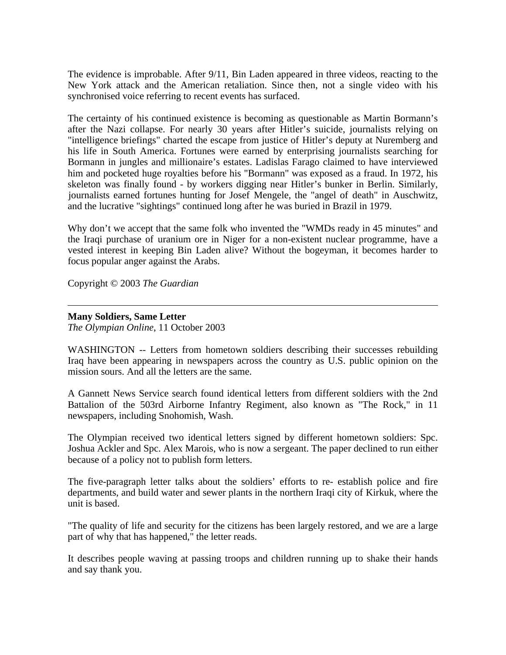The evidence is improbable. After 9/11, Bin Laden appeared in three videos, reacting to the New York attack and the American retaliation. Since then, not a single video with his synchronised voice referring to recent events has surfaced.

The certainty of his continued existence is becoming as questionable as Martin Bormann's after the Nazi collapse. For nearly 30 years after Hitler's suicide, journalists relying on "intelligence briefings" charted the escape from justice of Hitler's deputy at Nuremberg and his life in South America. Fortunes were earned by enterprising journalists searching for Bormann in jungles and millionaire's estates. Ladislas Farago claimed to have interviewed him and pocketed huge royalties before his "Bormann" was exposed as a fraud. In 1972, his skeleton was finally found - by workers digging near Hitler's bunker in Berlin. Similarly, journalists earned fortunes hunting for Josef Mengele, the "angel of death" in Auschwitz, and the lucrative "sightings" continued long after he was buried in Brazil in 1979.

Why don't we accept that the same folk who invented the "WMDs ready in 45 minutes" and the Iraqi purchase of uranium ore in Niger for a non-existent nuclear programme, have a vested interest in keeping Bin Laden alive? Without the bogeyman, it becomes harder to focus popular anger against the Arabs.

Copyright © 2003 *The Guardian*

#### **Many Soldiers, Same Letter**

*The Olympian Online*, 11 October 2003

WASHINGTON -- Letters from hometown soldiers describing their successes rebuilding Iraq have been appearing in newspapers across the country as U.S. public opinion on the mission sours. And all the letters are the same.

A Gannett News Service search found identical letters from different soldiers with the 2nd Battalion of the 503rd Airborne Infantry Regiment, also known as "The Rock," in 11 newspapers, including Snohomish, Wash.

The Olympian received two identical letters signed by different hometown soldiers: Spc. Joshua Ackler and Spc. Alex Marois, who is now a sergeant. The paper declined to run either because of a policy not to publish form letters.

The five-paragraph letter talks about the soldiers' efforts to re- establish police and fire departments, and build water and sewer plants in the northern Iraqi city of Kirkuk, where the unit is based.

"The quality of life and security for the citizens has been largely restored, and we are a large part of why that has happened," the letter reads.

It describes people waving at passing troops and children running up to shake their hands and say thank you.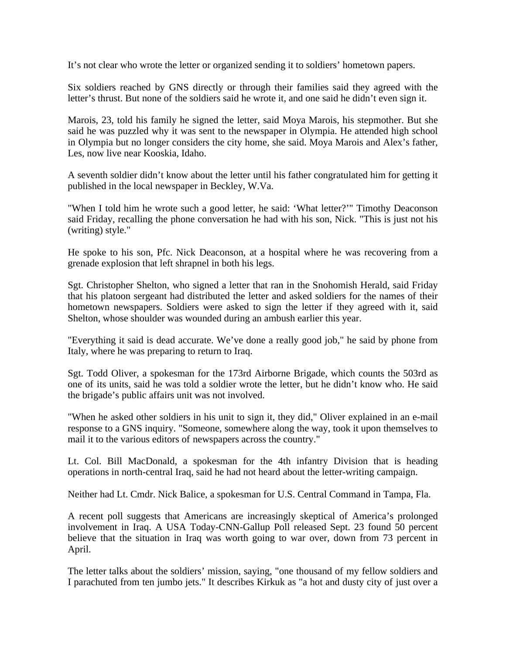It's not clear who wrote the letter or organized sending it to soldiers' hometown papers.

Six soldiers reached by GNS directly or through their families said they agreed with the letter's thrust. But none of the soldiers said he wrote it, and one said he didn't even sign it.

Marois, 23, told his family he signed the letter, said Moya Marois, his stepmother. But she said he was puzzled why it was sent to the newspaper in Olympia. He attended high school in Olympia but no longer considers the city home, she said. Moya Marois and Alex's father, Les, now live near Kooskia, Idaho.

A seventh soldier didn't know about the letter until his father congratulated him for getting it published in the local newspaper in Beckley, W.Va.

"When I told him he wrote such a good letter, he said: 'What letter?'" Timothy Deaconson said Friday, recalling the phone conversation he had with his son, Nick. "This is just not his (writing) style."

He spoke to his son, Pfc. Nick Deaconson, at a hospital where he was recovering from a grenade explosion that left shrapnel in both his legs.

Sgt. Christopher Shelton, who signed a letter that ran in the Snohomish Herald, said Friday that his platoon sergeant had distributed the letter and asked soldiers for the names of their hometown newspapers. Soldiers were asked to sign the letter if they agreed with it, said Shelton, whose shoulder was wounded during an ambush earlier this year.

"Everything it said is dead accurate. We've done a really good job," he said by phone from Italy, where he was preparing to return to Iraq.

Sgt. Todd Oliver, a spokesman for the 173rd Airborne Brigade, which counts the 503rd as one of its units, said he was told a soldier wrote the letter, but he didn't know who. He said the brigade's public affairs unit was not involved.

"When he asked other soldiers in his unit to sign it, they did," Oliver explained in an e-mail response to a GNS inquiry. "Someone, somewhere along the way, took it upon themselves to mail it to the various editors of newspapers across the country."

Lt. Col. Bill MacDonald, a spokesman for the 4th infantry Division that is heading operations in north-central Iraq, said he had not heard about the letter-writing campaign.

Neither had Lt. Cmdr. Nick Balice, a spokesman for U.S. Central Command in Tampa, Fla.

A recent poll suggests that Americans are increasingly skeptical of America's prolonged involvement in Iraq. A USA Today-CNN-Gallup Poll released Sept. 23 found 50 percent believe that the situation in Iraq was worth going to war over, down from 73 percent in April.

The letter talks about the soldiers' mission, saying, "one thousand of my fellow soldiers and I parachuted from ten jumbo jets." It describes Kirkuk as "a hot and dusty city of just over a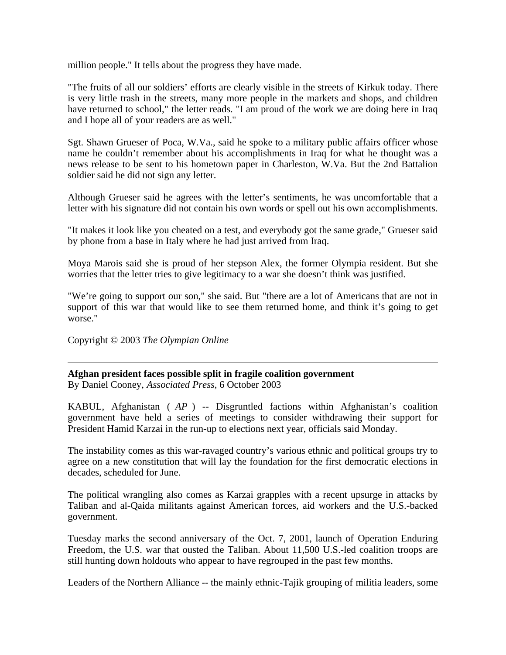million people." It tells about the progress they have made.

"The fruits of all our soldiers' efforts are clearly visible in the streets of Kirkuk today. There is very little trash in the streets, many more people in the markets and shops, and children have returned to school," the letter reads. "I am proud of the work we are doing here in Iraq and I hope all of your readers are as well."

Sgt. Shawn Grueser of Poca, W.Va., said he spoke to a military public affairs officer whose name he couldn't remember about his accomplishments in Iraq for what he thought was a news release to be sent to his hometown paper in Charleston, W.Va. But the 2nd Battalion soldier said he did not sign any letter.

Although Grueser said he agrees with the letter's sentiments, he was uncomfortable that a letter with his signature did not contain his own words or spell out his own accomplishments.

"It makes it look like you cheated on a test, and everybody got the same grade," Grueser said by phone from a base in Italy where he had just arrived from Iraq.

Moya Marois said she is proud of her stepson Alex, the former Olympia resident. But she worries that the letter tries to give legitimacy to a war she doesn't think was justified.

"We're going to support our son," she said. But "there are a lot of Americans that are not in support of this war that would like to see them returned home, and think it's going to get worse."

Copyright © 2003 *The Olympian Online*

**Afghan president faces possible split in fragile coalition government**  By Daniel Cooney, *Associated Press*, 6 October 2003

KABUL, Afghanistan ( *AP* ) -- Disgruntled factions within Afghanistan's coalition government have held a series of meetings to consider withdrawing their support for President Hamid Karzai in the run-up to elections next year, officials said Monday.

The instability comes as this war-ravaged country's various ethnic and political groups try to agree on a new constitution that will lay the foundation for the first democratic elections in decades, scheduled for June.

The political wrangling also comes as Karzai grapples with a recent upsurge in attacks by Taliban and al-Qaida militants against American forces, aid workers and the U.S.-backed government.

Tuesday marks the second anniversary of the Oct. 7, 2001, launch of Operation Enduring Freedom, the U.S. war that ousted the Taliban. About 11,500 U.S.-led coalition troops are still hunting down holdouts who appear to have regrouped in the past few months.

Leaders of the Northern Alliance -- the mainly ethnic-Tajik grouping of militia leaders, some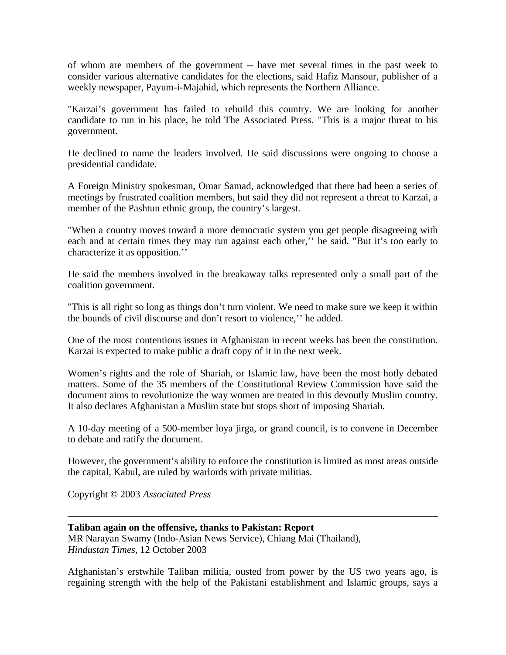of whom are members of the government -- have met several times in the past week to consider various alternative candidates for the elections, said Hafiz Mansour, publisher of a weekly newspaper, Payum-i-Majahid, which represents the Northern Alliance.

"Karzai's government has failed to rebuild this country. We are looking for another candidate to run in his place, he told The Associated Press. "This is a major threat to his government.

He declined to name the leaders involved. He said discussions were ongoing to choose a presidential candidate.

A Foreign Ministry spokesman, Omar Samad, acknowledged that there had been a series of meetings by frustrated coalition members, but said they did not represent a threat to Karzai, a member of the Pashtun ethnic group, the country's largest.

"When a country moves toward a more democratic system you get people disagreeing with each and at certain times they may run against each other,'' he said. "But it's too early to characterize it as opposition.''

He said the members involved in the breakaway talks represented only a small part of the coalition government.

"This is all right so long as things don't turn violent. We need to make sure we keep it within the bounds of civil discourse and don't resort to violence,'' he added.

One of the most contentious issues in Afghanistan in recent weeks has been the constitution. Karzai is expected to make public a draft copy of it in the next week.

Women's rights and the role of Shariah, or Islamic law, have been the most hotly debated matters. Some of the 35 members of the Constitutional Review Commission have said the document aims to revolutionize the way women are treated in this devoutly Muslim country. It also declares Afghanistan a Muslim state but stops short of imposing Shariah.

A 10-day meeting of a 500-member loya jirga, or grand council, is to convene in December to debate and ratify the document.

However, the government's ability to enforce the constitution is limited as most areas outside the capital, Kabul, are ruled by warlords with private militias.

Copyright © 2003 *Associated Press*

## **Taliban again on the offensive, thanks to Pakistan: Report**  MR Narayan Swamy (Indo-Asian News Service), Chiang Mai (Thailand), *Hindustan Times*, 12 October 2003

Afghanistan's erstwhile Taliban militia, ousted from power by the US two years ago, is regaining strength with the help of the Pakistani establishment and Islamic groups, says a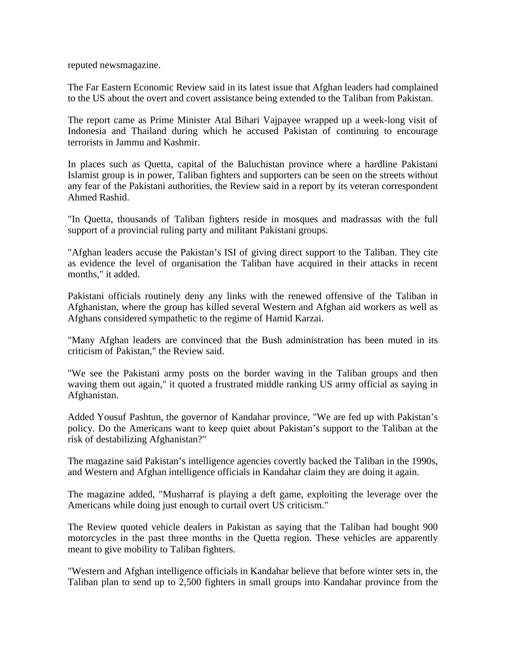reputed newsmagazine.

The Far Eastern Economic Review said in its latest issue that Afghan leaders had complained to the US about the overt and covert assistance being extended to the Taliban from Pakistan.

The report came as Prime Minister Atal Bihari Vajpayee wrapped up a week-long visit of Indonesia and Thailand during which he accused Pakistan of continuing to encourage terrorists in Jammu and Kashmir.

In places such as Quetta, capital of the Baluchistan province where a hardline Pakistani Islamist group is in power, Taliban fighters and supporters can be seen on the streets without any fear of the Pakistani authorities, the Review said in a report by its veteran correspondent Ahmed Rashid.

"In Quetta, thousands of Taliban fighters reside in mosques and madrassas with the full support of a provincial ruling party and militant Pakistani groups.

"Afghan leaders accuse the Pakistan's ISI of giving direct support to the Taliban. They cite as evidence the level of organisation the Taliban have acquired in their attacks in recent months," it added.

Pakistani officials routinely deny any links with the renewed offensive of the Taliban in Afghanistan, where the group has killed several Western and Afghan aid workers as well as Afghans considered sympathetic to the regime of Hamid Karzai.

"Many Afghan leaders are convinced that the Bush administration has been muted in its criticism of Pakistan," the Review said.

"We see the Pakistani army posts on the border waving in the Taliban groups and then waving them out again," it quoted a frustrated middle ranking US army official as saying in Afghanistan.

Added Yousuf Pashtun, the governor of Kandahar province, "We are fed up with Pakistan's policy. Do the Americans want to keep quiet about Pakistan's support to the Taliban at the risk of destabilizing Afghanistan?"

The magazine said Pakistan's intelligence agencies covertly backed the Taliban in the 1990s, and Western and Afghan intelligence officials in Kandahar claim they are doing it again.

The magazine added, "Musharraf is playing a deft game, exploiting the leverage over the Americans while doing just enough to curtail overt US criticism."

The Review quoted vehicle dealers in Pakistan as saying that the Taliban had bought 900 motorcycles in the past three months in the Quetta region. These vehicles are apparently meant to give mobility to Taliban fighters.

"Western and Afghan intelligence officials in Kandahar believe that before winter sets in, the Taliban plan to send up to 2,500 fighters in small groups into Kandahar province from the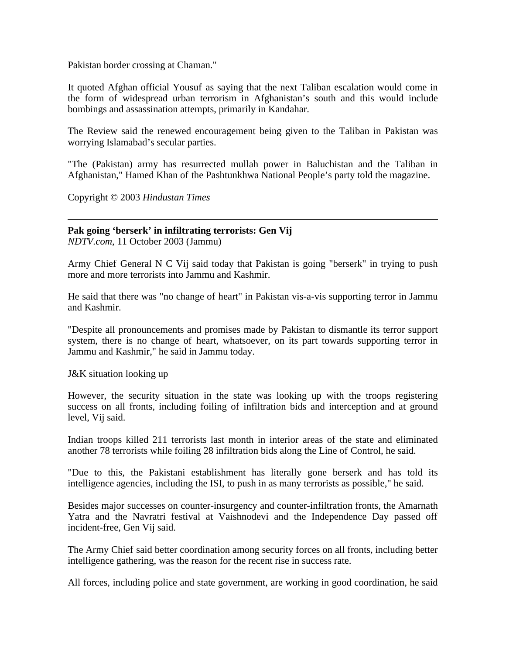Pakistan border crossing at Chaman."

It quoted Afghan official Yousuf as saying that the next Taliban escalation would come in the form of widespread urban terrorism in Afghanistan's south and this would include bombings and assassination attempts, primarily in Kandahar.

The Review said the renewed encouragement being given to the Taliban in Pakistan was worrying Islamabad's secular parties.

"The (Pakistan) army has resurrected mullah power in Baluchistan and the Taliban in Afghanistan," Hamed Khan of the Pashtunkhwa National People's party told the magazine.

Copyright © 2003 *Hindustan Times*

**Pak going 'berserk' in infiltrating terrorists: Gen Vij**  *NDTV.com*, 11 October 2003 (Jammu)

Army Chief General N C Vij said today that Pakistan is going "berserk" in trying to push more and more terrorists into Jammu and Kashmir.

He said that there was "no change of heart" in Pakistan vis-a-vis supporting terror in Jammu and Kashmir.

"Despite all pronouncements and promises made by Pakistan to dismantle its terror support system, there is no change of heart, whatsoever, on its part towards supporting terror in Jammu and Kashmir," he said in Jammu today.

J&K situation looking up

However, the security situation in the state was looking up with the troops registering success on all fronts, including foiling of infiltration bids and interception and at ground level, Vij said.

Indian troops killed 211 terrorists last month in interior areas of the state and eliminated another 78 terrorists while foiling 28 infiltration bids along the Line of Control, he said.

"Due to this, the Pakistani establishment has literally gone berserk and has told its intelligence agencies, including the ISI, to push in as many terrorists as possible," he said.

Besides major successes on counter-insurgency and counter-infiltration fronts, the Amarnath Yatra and the Navratri festival at Vaishnodevi and the Independence Day passed off incident-free, Gen Vij said.

The Army Chief said better coordination among security forces on all fronts, including better intelligence gathering, was the reason for the recent rise in success rate.

All forces, including police and state government, are working in good coordination, he said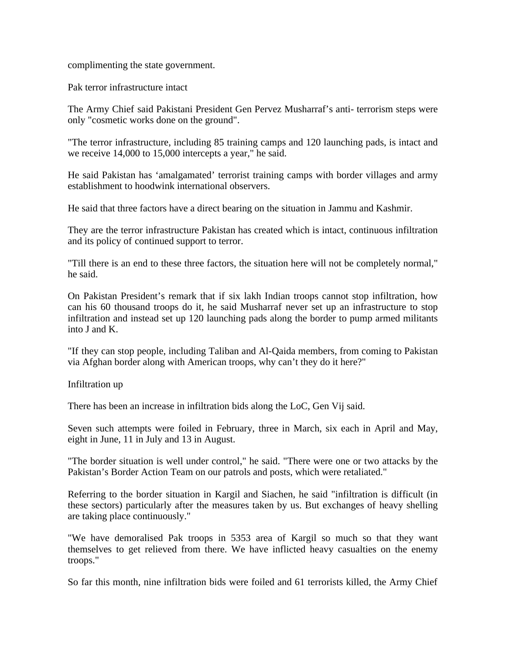complimenting the state government.

Pak terror infrastructure intact

The Army Chief said Pakistani President Gen Pervez Musharraf's anti- terrorism steps were only "cosmetic works done on the ground".

"The terror infrastructure, including 85 training camps and 120 launching pads, is intact and we receive 14,000 to 15,000 intercepts a year," he said.

He said Pakistan has 'amalgamated' terrorist training camps with border villages and army establishment to hoodwink international observers.

He said that three factors have a direct bearing on the situation in Jammu and Kashmir.

They are the terror infrastructure Pakistan has created which is intact, continuous infiltration and its policy of continued support to terror.

"Till there is an end to these three factors, the situation here will not be completely normal," he said.

On Pakistan President's remark that if six lakh Indian troops cannot stop infiltration, how can his 60 thousand troops do it, he said Musharraf never set up an infrastructure to stop infiltration and instead set up 120 launching pads along the border to pump armed militants into J and K.

"If they can stop people, including Taliban and Al-Qaida members, from coming to Pakistan via Afghan border along with American troops, why can't they do it here?"

Infiltration up

There has been an increase in infiltration bids along the LoC, Gen Vij said.

Seven such attempts were foiled in February, three in March, six each in April and May, eight in June, 11 in July and 13 in August.

"The border situation is well under control," he said. "There were one or two attacks by the Pakistan's Border Action Team on our patrols and posts, which were retaliated."

Referring to the border situation in Kargil and Siachen, he said "infiltration is difficult (in these sectors) particularly after the measures taken by us. But exchanges of heavy shelling are taking place continuously."

"We have demoralised Pak troops in 5353 area of Kargil so much so that they want themselves to get relieved from there. We have inflicted heavy casualties on the enemy troops."

So far this month, nine infiltration bids were foiled and 61 terrorists killed, the Army Chief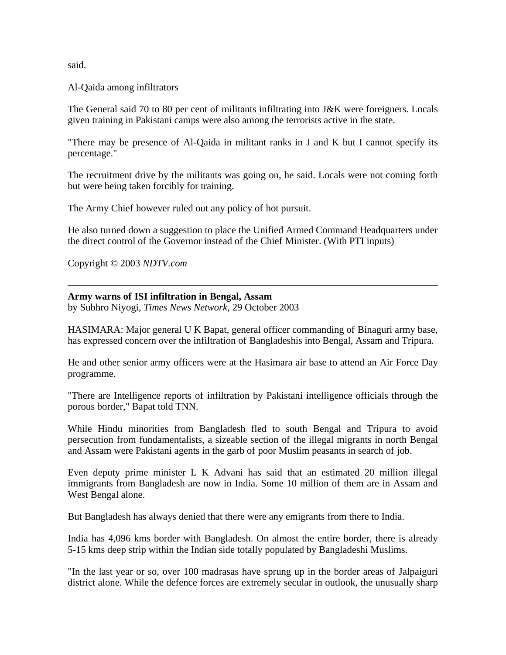said.

Al-Qaida among infiltrators

The General said 70 to 80 per cent of militants infiltrating into J&K were foreigners. Locals given training in Pakistani camps were also among the terrorists active in the state.

"There may be presence of Al-Qaida in militant ranks in J and K but I cannot specify its percentage."

The recruitment drive by the militants was going on, he said. Locals were not coming forth but were being taken forcibly for training.

The Army Chief however ruled out any policy of hot pursuit.

He also turned down a suggestion to place the Unified Armed Command Headquarters under the direct control of the Governor instead of the Chief Minister. (With PTI inputs)

Copyright © 2003 *NDTV.com*

#### **Army warns of ISI infiltration in Bengal, Assam**

by Subhro Niyogi, *Times News Network*, 29 October 2003

HASIMARA: Major general U K Bapat, general officer commanding of Binaguri army base, has expressed concern over the infiltration of Bangladeshis into Bengal, Assam and Tripura.

He and other senior army officers were at the Hasimara air base to attend an Air Force Day programme.

"There are Intelligence reports of infiltration by Pakistani intelligence officials through the porous border," Bapat told TNN.

While Hindu minorities from Bangladesh fled to south Bengal and Tripura to avoid persecution from fundamentalists, a sizeable section of the illegal migrants in north Bengal and Assam were Pakistani agents in the garb of poor Muslim peasants in search of job.

Even deputy prime minister L K Advani has said that an estimated 20 million illegal immigrants from Bangladesh are now in India. Some 10 million of them are in Assam and West Bengal alone.

But Bangladesh has always denied that there were any emigrants from there to India.

India has 4,096 kms border with Bangladesh. On almost the entire border, there is already 5-15 kms deep strip within the Indian side totally populated by Bangladeshi Muslims.

"In the last year or so, over 100 madrasas have sprung up in the border areas of Jalpaiguri district alone. While the defence forces are extremely secular in outlook, the unusually sharp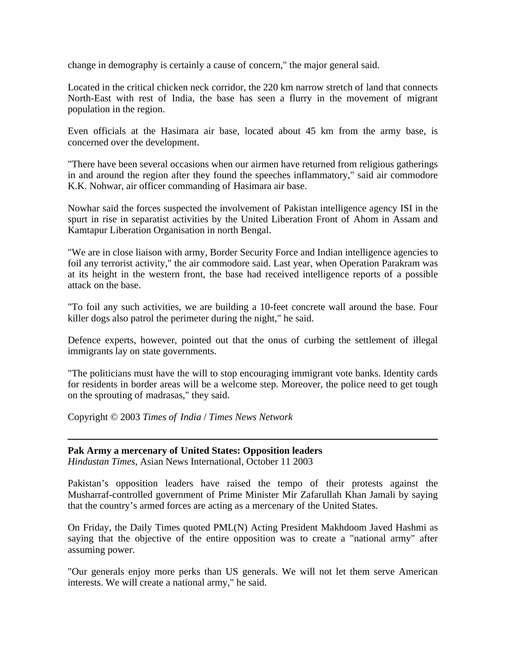change in demography is certainly a cause of concern," the major general said.

Located in the critical chicken neck corridor, the 220 km narrow stretch of land that connects North-East with rest of India, the base has seen a flurry in the movement of migrant population in the region.

Even officials at the Hasimara air base, located about 45 km from the army base, is concerned over the development.

"There have been several occasions when our airmen have returned from religious gatherings in and around the region after they found the speeches inflammatory," said air commodore K.K. Nohwar, air officer commanding of Hasimara air base.

Nowhar said the forces suspected the involvement of Pakistan intelligence agency ISI in the spurt in rise in separatist activities by the United Liberation Front of Ahom in Assam and Kamtapur Liberation Organisation in north Bengal.

"We are in close liaison with army, Border Security Force and Indian intelligence agencies to foil any terrorist activity," the air commodore said. Last year, when Operation Parakram was at its height in the western front, the base had received intelligence reports of a possible attack on the base.

"To foil any such activities, we are building a 10-feet concrete wall around the base. Four killer dogs also patrol the perimeter during the night," he said.

Defence experts, however, pointed out that the onus of curbing the settlement of illegal immigrants lay on state governments.

"The politicians must have the will to stop encouraging immigrant vote banks. Identity cards for residents in border areas will be a welcome step. Moreover, the police need to get tough on the sprouting of madrasas," they said.

Copyright © 2003 *Times of India* / *Times News Network*

## **Pak Army a mercenary of United States: Opposition leaders**

*Hindustan Times*, Asian News International, October 11 2003

Pakistan's opposition leaders have raised the tempo of their protests against the Musharraf-controlled government of Prime Minister Mir Zafarullah Khan Jamali by saying that the country's armed forces are acting as a mercenary of the United States.

On Friday, the Daily Times quoted PML(N) Acting President Makhdoom Javed Hashmi as saying that the objective of the entire opposition was to create a "national army" after assuming power.

"Our generals enjoy more perks than US generals. We will not let them serve American interests. We will create a national army," he said.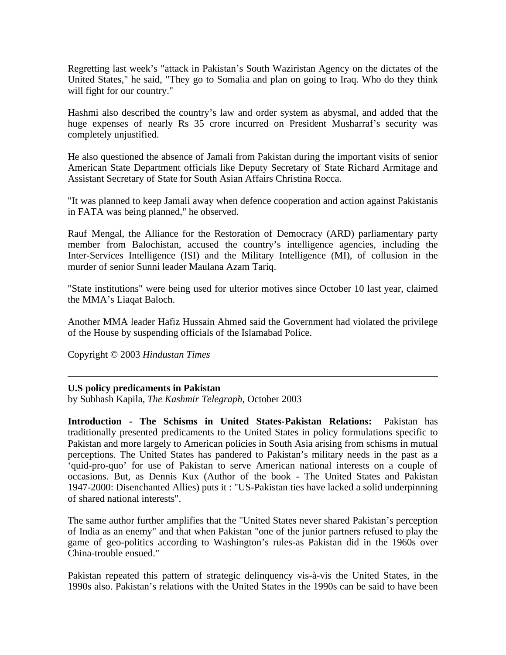Regretting last week's "attack in Pakistan's South Waziristan Agency on the dictates of the United States," he said, "They go to Somalia and plan on going to Iraq. Who do they think will fight for our country."

Hashmi also described the country's law and order system as abysmal, and added that the huge expenses of nearly Rs 35 crore incurred on President Musharraf's security was completely unjustified.

He also questioned the absence of Jamali from Pakistan during the important visits of senior American State Department officials like Deputy Secretary of State Richard Armitage and Assistant Secretary of State for South Asian Affairs Christina Rocca.

"It was planned to keep Jamali away when defence cooperation and action against Pakistanis in FATA was being planned," he observed.

Rauf Mengal, the Alliance for the Restoration of Democracy (ARD) parliamentary party member from Balochistan, accused the country's intelligence agencies, including the Inter-Services Intelligence (ISI) and the Military Intelligence (MI), of collusion in the murder of senior Sunni leader Maulana Azam Tariq.

"State institutions" were being used for ulterior motives since October 10 last year, claimed the MMA's Liaqat Baloch.

Another MMA leader Hafiz Hussain Ahmed said the Government had violated the privilege of the House by suspending officials of the Islamabad Police.

Copyright © 2003 *Hindustan Times*

## **U.S policy predicaments in Pakistan**

by Subhash Kapila, *The Kashmir Telegraph*, October 2003

**Introduction - The Schisms in United States-Pakistan Relations:** Pakistan has traditionally presented predicaments to the United States in policy formulations specific to Pakistan and more largely to American policies in South Asia arising from schisms in mutual perceptions. The United States has pandered to Pakistan's military needs in the past as a 'quid-pro-quo' for use of Pakistan to serve American national interests on a couple of occasions. But, as Dennis Kux (Author of the book - The United States and Pakistan 1947-2000: Disenchanted Allies) puts it : "US-Pakistan ties have lacked a solid underpinning of shared national interests".

The same author further amplifies that the "United States never shared Pakistan's perception of India as an enemy" and that when Pakistan "one of the junior partners refused to play the game of geo-politics according to Washington's rules-as Pakistan did in the 1960s over China-trouble ensued."

Pakistan repeated this pattern of strategic delinquency vis-à-vis the United States, in the 1990s also. Pakistan's relations with the United States in the 1990s can be said to have been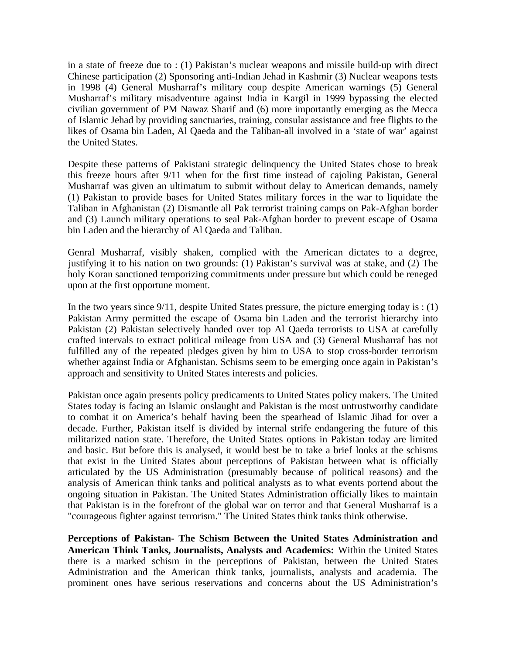in a state of freeze due to : (1) Pakistan's nuclear weapons and missile build-up with direct Chinese participation (2) Sponsoring anti-Indian Jehad in Kashmir (3) Nuclear weapons tests in 1998 (4) General Musharraf's military coup despite American warnings (5) General Musharraf's military misadventure against India in Kargil in 1999 bypassing the elected civilian government of PM Nawaz Sharif and (6) more importantly emerging as the Mecca of Islamic Jehad by providing sanctuaries, training, consular assistance and free flights to the likes of Osama bin Laden, Al Qaeda and the Taliban-all involved in a 'state of war' against the United States.

Despite these patterns of Pakistani strategic delinquency the United States chose to break this freeze hours after 9/11 when for the first time instead of cajoling Pakistan, General Musharraf was given an ultimatum to submit without delay to American demands, namely (1) Pakistan to provide bases for United States military forces in the war to liquidate the Taliban in Afghanistan (2) Dismantle all Pak terrorist training camps on Pak-Afghan border and (3) Launch military operations to seal Pak-Afghan border to prevent escape of Osama bin Laden and the hierarchy of Al Qaeda and Taliban.

Genral Musharraf, visibly shaken, complied with the American dictates to a degree, justifying it to his nation on two grounds: (1) Pakistan's survival was at stake, and (2) The holy Koran sanctioned temporizing commitments under pressure but which could be reneged upon at the first opportune moment.

In the two years since  $9/11$ , despite United States pressure, the picture emerging today is : (1) Pakistan Army permitted the escape of Osama bin Laden and the terrorist hierarchy into Pakistan (2) Pakistan selectively handed over top Al Qaeda terrorists to USA at carefully crafted intervals to extract political mileage from USA and (3) General Musharraf has not fulfilled any of the repeated pledges given by him to USA to stop cross-border terrorism whether against India or Afghanistan. Schisms seem to be emerging once again in Pakistan's approach and sensitivity to United States interests and policies.

Pakistan once again presents policy predicaments to United States policy makers. The United States today is facing an Islamic onslaught and Pakistan is the most untrustworthy candidate to combat it on America's behalf having been the spearhead of Islamic Jihad for over a decade. Further, Pakistan itself is divided by internal strife endangering the future of this militarized nation state. Therefore, the United States options in Pakistan today are limited and basic. But before this is analysed, it would best be to take a brief looks at the schisms that exist in the United States about perceptions of Pakistan between what is officially articulated by the US Administration (presumably because of political reasons) and the analysis of American think tanks and political analysts as to what events portend about the ongoing situation in Pakistan. The United States Administration officially likes to maintain that Pakistan is in the forefront of the global war on terror and that General Musharraf is a "courageous fighter against terrorism." The United States think tanks think otherwise.

**Perceptions of Pakistan- The Schism Between the United States Administration and American Think Tanks, Journalists, Analysts and Academics:** Within the United States there is a marked schism in the perceptions of Pakistan, between the United States Administration and the American think tanks, journalists, analysts and academia. The prominent ones have serious reservations and concerns about the US Administration's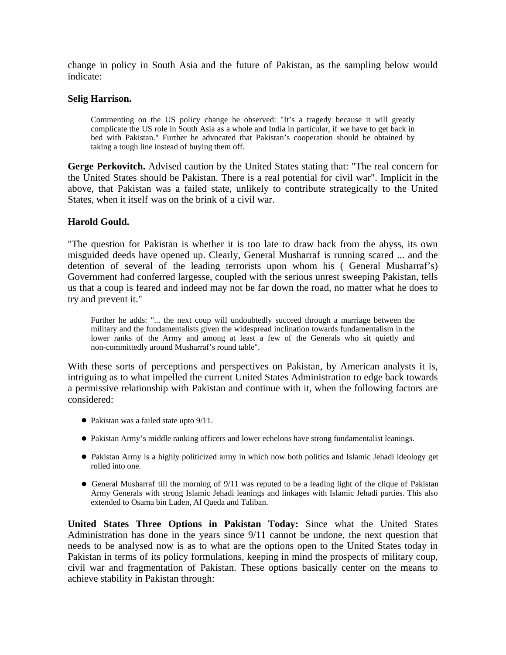change in policy in South Asia and the future of Pakistan, as the sampling below would indicate:

## **Selig Harrison.**

Commenting on the US policy change he observed: "It's a tragedy because it will greatly complicate the US role in South Asia as a whole and India in particular, if we have to get back in bed with Pakistan." Further he advocated that Pakistan's cooperation should be obtained by taking a tough line instead of buying them off.

**Gerge Perkovitch.** Advised caution by the United States stating that: "The real concern for the United States should be Pakistan. There is a real potential for civil war". Implicit in the above, that Pakistan was a failed state, unlikely to contribute strategically to the United States, when it itself was on the brink of a civil war.

## **Harold Gould.**

"The question for Pakistan is whether it is too late to draw back from the abyss, its own misguided deeds have opened up. Clearly, General Musharraf is running scared ... and the detention of several of the leading terrorists upon whom his ( General Musharraf's) Government had conferred largesse, coupled with the serious unrest sweeping Pakistan, tells us that a coup is feared and indeed may not be far down the road, no matter what he does to try and prevent it."

Further he adds: "... the next coup will undoubtedly succeed through a marriage between the military and the fundamentalists given the widespread inclination towards fundamentalism in the lower ranks of the Army and among at least a few of the Generals who sit quietly and non-committedly around Musharraf's round table".

With these sorts of perceptions and perspectives on Pakistan, by American analysts it is, intriguing as to what impelled the current United States Administration to edge back towards a permissive relationship with Pakistan and continue with it, when the following factors are considered:

- Pakistan was a failed state upto  $9/11$ .
- Pakistan Army's middle ranking officers and lower echelons have strong fundamentalist leanings.
- Pakistan Army is a highly politicized army in which now both politics and Islamic Jehadi ideology get rolled into one.
- General Musharraf till the morning of 9/11 was reputed to be a leading light of the clique of Pakistan Army Generals with strong Islamic Jehadi leanings and linkages with Islamic Jehadi parties. This also extended to Osama bin Laden, Al Qaeda and Taliban.

**United States Three Options in Pakistan Today:** Since what the United States Administration has done in the years since 9/11 cannot be undone, the next question that needs to be analysed now is as to what are the options open to the United States today in Pakistan in terms of its policy formulations, keeping in mind the prospects of military coup, civil war and fragmentation of Pakistan. These options basically center on the means to achieve stability in Pakistan through: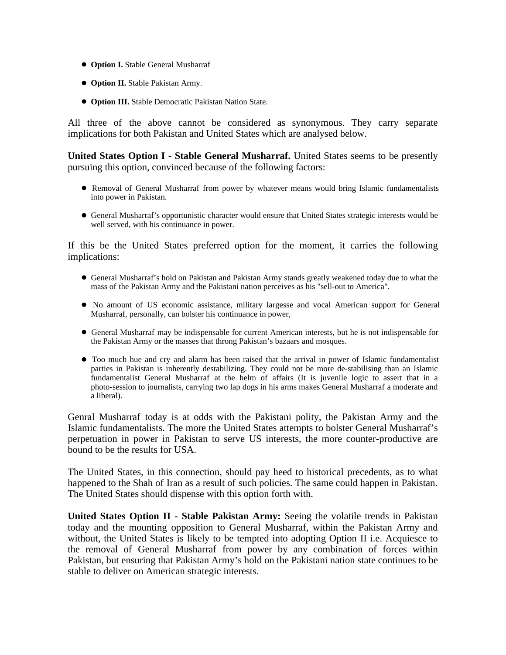- **Option I.** Stable General Musharraf
- **Option II.** Stable Pakistan Army.
- **Option III.** Stable Democratic Pakistan Nation State.

All three of the above cannot be considered as synonymous. They carry separate implications for both Pakistan and United States which are analysed below.

**United States Option I - Stable General Musharraf.** United States seems to be presently pursuing this option, convinced because of the following factors:

- Removal of General Musharraf from power by whatever means would bring Islamic fundamentalists into power in Pakistan.
- General Musharraf's opportunistic character would ensure that United States strategic interests would be well served, with his continuance in power.

If this be the United States preferred option for the moment, it carries the following implications:

- General Musharraf's hold on Pakistan and Pakistan Army stands greatly weakened today due to what the mass of the Pakistan Army and the Pakistani nation perceives as his "sell-out to America".
- No amount of US economic assistance, military largesse and vocal American support for General Musharraf, personally, can bolster his continuance in power,
- General Musharraf may be indispensable for current American interests, but he is not indispensable for the Pakistan Army or the masses that throng Pakistan's bazaars and mosques.
- Too much hue and cry and alarm has been raised that the arrival in power of Islamic fundamentalist parties in Pakistan is inherently destabilizing. They could not be more de-stabilising than an Islamic fundamentalist General Musharraf at the helm of affairs (It is juvenile logic to assert that in a photo-session to journalists, carrying two lap dogs in his arms makes General Musharraf a moderate and a liberal).

Genral Musharraf today is at odds with the Pakistani polity, the Pakistan Army and the Islamic fundamentalists. The more the United States attempts to bolster General Musharraf's perpetuation in power in Pakistan to serve US interests, the more counter-productive are bound to be the results for USA.

The United States, in this connection, should pay heed to historical precedents, as to what happened to the Shah of Iran as a result of such policies. The same could happen in Pakistan. The United States should dispense with this option forth with.

**United States Option II - Stable Pakistan Army:** Seeing the volatile trends in Pakistan today and the mounting opposition to General Musharraf, within the Pakistan Army and without, the United States is likely to be tempted into adopting Option II i.e. Acquiesce to the removal of General Musharraf from power by any combination of forces within Pakistan, but ensuring that Pakistan Army's hold on the Pakistani nation state continues to be stable to deliver on American strategic interests.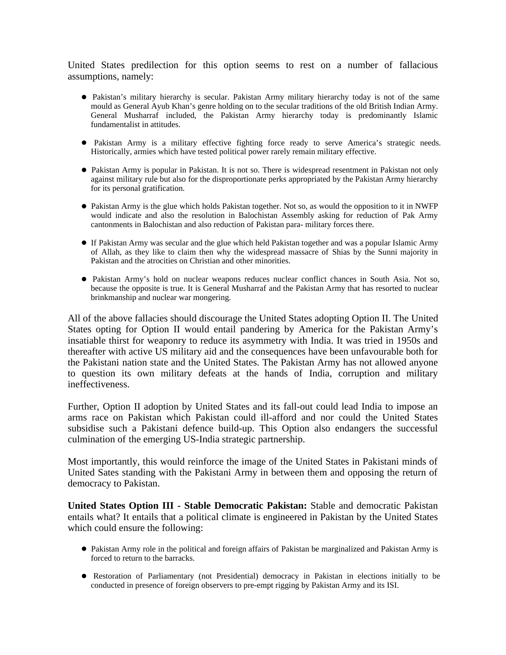United States predilection for this option seems to rest on a number of fallacious assumptions, namely:

- Pakistan's military hierarchy is secular. Pakistan Army military hierarchy today is not of the same mould as General Ayub Khan's genre holding on to the secular traditions of the old British Indian Army. General Musharraf included, the Pakistan Army hierarchy today is predominantly Islamic fundamentalist in attitudes.
- Pakistan Army is a military effective fighting force ready to serve America's strategic needs. Historically, armies which have tested political power rarely remain military effective.
- Pakistan Army is popular in Pakistan. It is not so. There is widespread resentment in Pakistan not only against military rule but also for the disproportionate perks appropriated by the Pakistan Army hierarchy for its personal gratification.
- Pakistan Army is the glue which holds Pakistan together. Not so, as would the opposition to it in NWFP would indicate and also the resolution in Balochistan Assembly asking for reduction of Pak Army cantonments in Balochistan and also reduction of Pakistan para- military forces there.
- If Pakistan Army was secular and the glue which held Pakistan together and was a popular Islamic Army of Allah, as they like to claim then why the widespread massacre of Shias by the Sunni majority in Pakistan and the atrocities on Christian and other minorities.
- Pakistan Army's hold on nuclear weapons reduces nuclear conflict chances in South Asia. Not so, because the opposite is true. It is General Musharraf and the Pakistan Army that has resorted to nuclear brinkmanship and nuclear war mongering.

All of the above fallacies should discourage the United States adopting Option II. The United States opting for Option II would entail pandering by America for the Pakistan Army's insatiable thirst for weaponry to reduce its asymmetry with India. It was tried in 1950s and thereafter with active US military aid and the consequences have been unfavourable both for the Pakistani nation state and the United States. The Pakistan Army has not allowed anyone to question its own military defeats at the hands of India, corruption and military ineffectiveness.

Further, Option II adoption by United States and its fall-out could lead India to impose an arms race on Pakistan which Pakistan could ill-afford and nor could the United States subsidise such a Pakistani defence build-up. This Option also endangers the successful culmination of the emerging US-India strategic partnership.

Most importantly, this would reinforce the image of the United States in Pakistani minds of United Sates standing with the Pakistani Army in between them and opposing the return of democracy to Pakistan.

**United States Option III - Stable Democratic Pakistan:** Stable and democratic Pakistan entails what? It entails that a political climate is engineered in Pakistan by the United States which could ensure the following:

- Pakistan Army role in the political and foreign affairs of Pakistan be marginalized and Pakistan Army is forced to return to the barracks.
- Restoration of Parliamentary (not Presidential) democracy in Pakistan in elections initially to be conducted in presence of foreign observers to pre-empt rigging by Pakistan Army and its ISI.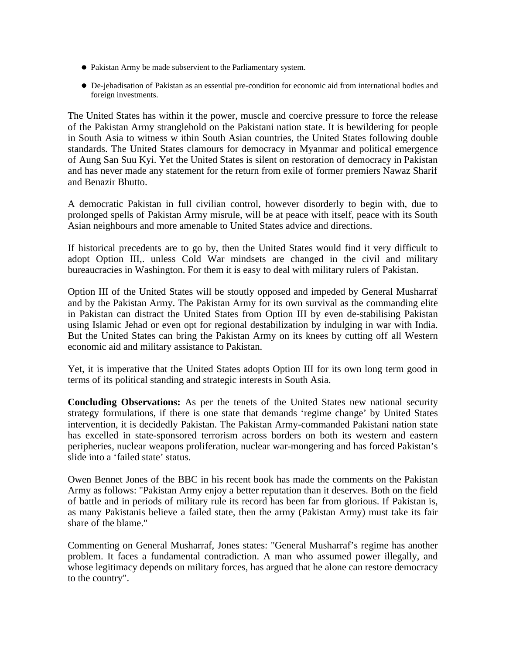- Pakistan Army be made subservient to the Parliamentary system.
- De-jehadisation of Pakistan as an essential pre-condition for economic aid from international bodies and foreign investments.

The United States has within it the power, muscle and coercive pressure to force the release of the Pakistan Army stranglehold on the Pakistani nation state. It is bewildering for people in South Asia to witness w ithin South Asian countries, the United States following double standards. The United States clamours for democracy in Myanmar and political emergence of Aung San Suu Kyi. Yet the United States is silent on restoration of democracy in Pakistan and has never made any statement for the return from exile of former premiers Nawaz Sharif and Benazir Bhutto.

A democratic Pakistan in full civilian control, however disorderly to begin with, due to prolonged spells of Pakistan Army misrule, will be at peace with itself, peace with its South Asian neighbours and more amenable to United States advice and directions.

If historical precedents are to go by, then the United States would find it very difficult to adopt Option III,. unless Cold War mindsets are changed in the civil and military bureaucracies in Washington. For them it is easy to deal with military rulers of Pakistan.

Option III of the United States will be stoutly opposed and impeded by General Musharraf and by the Pakistan Army. The Pakistan Army for its own survival as the commanding elite in Pakistan can distract the United States from Option III by even de-stabilising Pakistan using Islamic Jehad or even opt for regional destabilization by indulging in war with India. But the United States can bring the Pakistan Army on its knees by cutting off all Western economic aid and military assistance to Pakistan.

Yet, it is imperative that the United States adopts Option III for its own long term good in terms of its political standing and strategic interests in South Asia.

**Concluding Observations:** As per the tenets of the United States new national security strategy formulations, if there is one state that demands 'regime change' by United States intervention, it is decidedly Pakistan. The Pakistan Army-commanded Pakistani nation state has excelled in state-sponsored terrorism across borders on both its western and eastern peripheries, nuclear weapons proliferation, nuclear war-mongering and has forced Pakistan's slide into a 'failed state' status.

Owen Bennet Jones of the BBC in his recent book has made the comments on the Pakistan Army as follows: "Pakistan Army enjoy a better reputation than it deserves. Both on the field of battle and in periods of military rule its record has been far from glorious. If Pakistan is, as many Pakistanis believe a failed state, then the army (Pakistan Army) must take its fair share of the blame."

Commenting on General Musharraf, Jones states: "General Musharraf's regime has another problem. It faces a fundamental contradiction. A man who assumed power illegally, and whose legitimacy depends on military forces, has argued that he alone can restore democracy to the country".